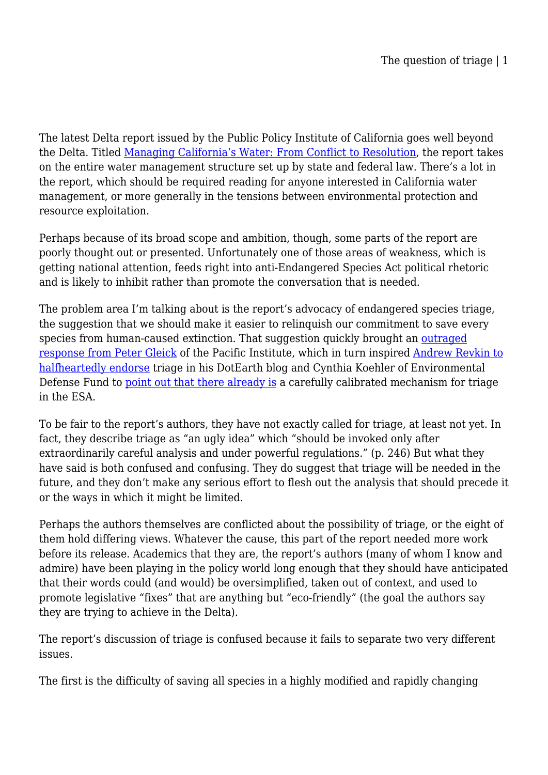The latest Delta report issued by the Public Policy Institute of California goes well beyond the Delta. Titled [Managing California's Water: From Conflict to Resolution](http://www.ppic.org/main/publication.asp?i=944), the report takes on the entire water management structure set up by state and federal law. There's a lot in the report, which should be required reading for anyone interested in California water management, or more generally in the tensions between environmental protection and resource exploitation.

Perhaps because of its broad scope and ambition, though, some parts of the report are poorly thought out or presented. Unfortunately one of those areas of weakness, which is getting national attention, feeds right into anti-Endangered Species Act political rhetoric and is likely to inhibit rather than promote the conversation that is needed.

The problem area I'm talking about is the report's advocacy of endangered species triage, the suggestion that we should make it easier to relinquish our commitment to save every species from human-caused extinction. That suggestion quickly brought an [outraged](http://www.sfgate.com/cgi-bin/blogs/gleick/detail?entry_id=83837) [response from Peter Gleick](http://www.sfgate.com/cgi-bin/blogs/gleick/detail?entry_id=83837) of the Pacific Institute, which in turn inspired [Andrew Revkin to](http://dotearth.blogs.nytimes.com/2011/02/28/the-limits-of-laws-as-a-conservation-tool/) [halfheartedly endorse](http://dotearth.blogs.nytimes.com/2011/02/28/the-limits-of-laws-as-a-conservation-tool/) triage in his DotEarth blog and Cynthia Koehler of Environmental Defense Fund to [point out that there already is](http://blogs.edf.org/waterfront/2011/03/02/response-to-revkin-on-conservation-laws/?utm_source=feedburner&utm_medium=feed&utm_campaign=Feed%3A+OnTheWaterFront+%28On+the+Water+Front%29) a carefully calibrated mechanism for triage in the ESA.

To be fair to the report's authors, they have not exactly called for triage, at least not yet. In fact, they describe triage as "an ugly idea" which "should be invoked only after extraordinarily careful analysis and under powerful regulations." (p. 246) But what they have said is both confused and confusing. They do suggest that triage will be needed in the future, and they don't make any serious effort to flesh out the analysis that should precede it or the ways in which it might be limited.

Perhaps the authors themselves are conflicted about the possibility of triage, or the eight of them hold differing views. Whatever the cause, this part of the report needed more work before its release. Academics that they are, the report's authors (many of whom I know and admire) have been playing in the policy world long enough that they should have anticipated that their words could (and would) be oversimplified, taken out of context, and used to promote legislative "fixes" that are anything but "eco-friendly" (the goal the authors say they are trying to achieve in the Delta).

The report's discussion of triage is confused because it fails to separate two very different issues.

The first is the difficulty of saving all species in a highly modified and rapidly changing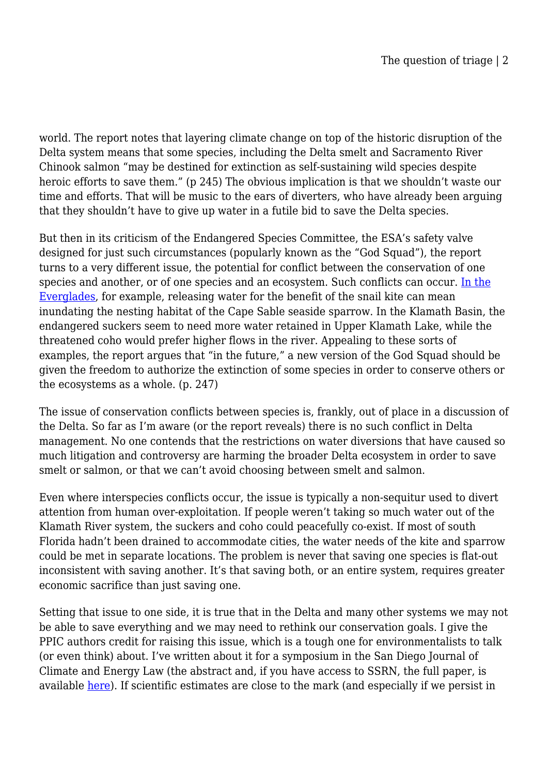world. The report notes that layering climate change on top of the historic disruption of the Delta system means that some species, including the Delta smelt and Sacramento River Chinook salmon "may be destined for extinction as self-sustaining wild species despite heroic efforts to save them." (p 245) The obvious implication is that we shouldn't waste our time and efforts. That will be music to the ears of diverters, who have already been arguing that they shouldn't have to give up water in a futile bid to save the Delta species.

But then in its criticism of the Endangered Species Committee, the ESA's safety valve designed for just such circumstances (popularly known as the "God Squad"), the report turns to a very different issue, the potential for conflict between the conservation of one species and another, or of one species and an ecosystem. Such conflicts can occur. [In the](http://legalplanet.wordpress.com/2009/05/12/esa-in-the-everglades/) [Everglades,](http://legalplanet.wordpress.com/2009/05/12/esa-in-the-everglades/) for example, releasing water for the benefit of the snail kite can mean inundating the nesting habitat of the Cape Sable seaside sparrow. In the Klamath Basin, the endangered suckers seem to need more water retained in Upper Klamath Lake, while the threatened coho would prefer higher flows in the river. Appealing to these sorts of examples, the report argues that "in the future," a new version of the God Squad should be given the freedom to authorize the extinction of some species in order to conserve others or the ecosystems as a whole. (p. 247)

The issue of conservation conflicts between species is, frankly, out of place in a discussion of the Delta. So far as I'm aware (or the report reveals) there is no such conflict in Delta management. No one contends that the restrictions on water diversions that have caused so much litigation and controversy are harming the broader Delta ecosystem in order to save smelt or salmon, or that we can't avoid choosing between smelt and salmon.

Even where interspecies conflicts occur, the issue is typically a non-sequitur used to divert attention from human over-exploitation. If people weren't taking so much water out of the Klamath River system, the suckers and coho could peacefully co-exist. If most of south Florida hadn't been drained to accommodate cities, the water needs of the kite and sparrow could be met in separate locations. The problem is never that saving one species is flat-out inconsistent with saving another. It's that saving both, or an entire system, requires greater economic sacrifice than just saving one.

Setting that issue to one side, it is true that in the Delta and many other systems we may not be able to save everything and we may need to rethink our conservation goals. I give the PPIC authors credit for raising this issue, which is a tough one for environmentalists to talk (or even think) about. I've written about it for a symposium in the San Diego Journal of Climate and Energy Law (the abstract and, if you have access to SSRN, the full paper, is available [here\)](http://papers.ssrn.com/sol3/papers.cfm?abstract_id=1628255). If scientific estimates are close to the mark (and especially if we persist in